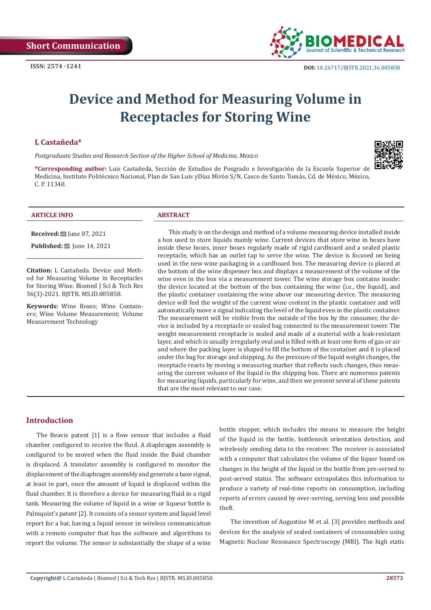

# **Device and Method for Measuring Volume in Receptacles for Storing Wine**

#### **L Castañeda\***

*Postgraduate Studies and Research Section of the Higher School of Medicine, Mexico*

**\*Corresponding author:** Luis Castañeda, Sección de Estudios de Posgrado e Investigación de la Escuela Superior de Medicina, Instituto Politécnico Nacional, Plan de San Luis yDíaz Mirón S/N, Casco de Santo Tomás, Cd. de México, México, C. P. 11340.



#### **ARTICLE INFO ABSTRACT**

**Received:** June 07, 2021

**Published:** ■ June 14, 2021

**Citation:** L Castañeda. Device and Method for Measuring Volume in Receptacles for Storing Wine. Biomed J Sci & Tech Res 36(3)-2021. BJSTR. MS.ID.005858.

**Keywords:** Wine Boxes; Wine Containers; Wine Volume Measurement; Volume Measurement Technology

This study is on the design and method of a volume measuring device installed inside a box used to store liquids mainly wine. Current devices that store wine in boxes have inside these boxes, inner boxes regularly made of rigid cardboard and a sealed plastic receptacle, which has an outlet tap to serve the wine. The device is focused on being used in the new wine packaging in a cardboard box. The measuring device is placed at the bottom of the wine dispenser box and displays a measurement of the volume of the wine even in the box via a measurement tower. The wine storage box contains inside: the device located at the bottom of the box containing the wine (i.e., the liquid), and the plastic container containing the wine above our measuring device. The measuring device will feel the weight of the current wine content in the plastic container and will automatically move a signal indicating the level of the liquid even in the plastic container. The measurement will be visible from the outside of the box by the consumer, the device is included by a receptacle or sealed bag connected to the measurement tower. The weight measurement receptacle is sealed and made of a material with a leak-resistant layer, and which is usually irregularly oval and is filled with at least one form of gas or air and where the packing layer is shaped to fill the bottom of the container and it is placed under the bag for storage and shipping. As the pressure of the liquid weight changes, the receptacle reacts by moving a measuring marker that reflects such changes, thus measuring the current volume of the liquid in the shipping box. There are numerous patents for measuring liquids, particularly for wine, and then we present several of these patents that are the most relevant to our case.

# **Introduction**

The Beavis patent [1] is a flow sensor that includes a fluid chamber configured to receive the fluid. A diaphragm assembly is configured to be moved when the fluid inside the fluid chamber is displaced. A translator assembly is configured to monitor the displacement of the diaphragm assembly and generate a base signal, at least in part, once the amount of liquid is displaced within the fluid chamber. It is therefore a device for measuring fluid in a rigid tank. Measuring the volume of liquid in a wine or liqueur bottle is Palmquist's patent [2]. It consists of a sensor system and liquid level report for a bar, having a liquid sensor in wireless communication with a remote computer that has the software and algorithms to report the volume. The sensor is substantially the shape of a wine

bottle stopper, which includes the means to measure the height of the liquid in the bottle, bottleneck orientation detection, and wirelessly sending data to the receiver. The receiver is associated with a computer that calculates the volume of the liquor based on changes in the height of the liquid in the bottle from pre-served to post-served status. The software extrapolates this information to produce a variety of real-time reports on consumption, including reports of errors caused by over-serving, serving less and possible theft.

The invention of Augustine M et al. [3] provides methods and devices for the analysis of sealed containers of consumables using Magnetic Nuclear Resonance Spectroscopy (MRI). The high static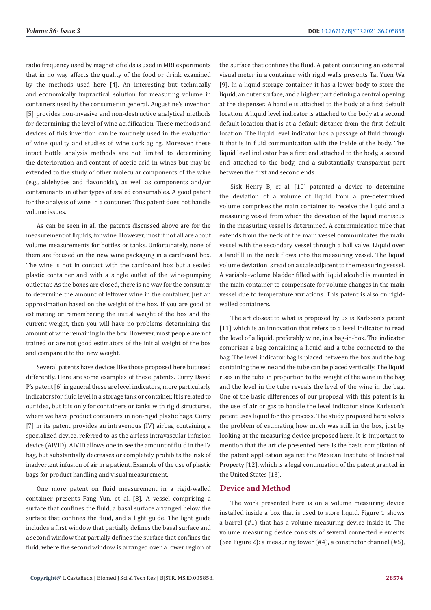radio frequency used by magnetic fields is used in MRI experiments that in no way affects the quality of the food or drink examined by the methods used here [4]. An interesting but technically and economically impractical solution for measuring volume in containers used by the consumer in general. Augustine's invention [5] provides non-invasive and non-destructive analytical methods for determining the level of wine acidification. These methods and devices of this invention can be routinely used in the evaluation of wine quality and studies of wine cork aging. Moreover, these intact bottle analysis methods are not limited to determining the deterioration and content of acetic acid in wines but may be extended to the study of other molecular components of the wine (e.g., aldehydes and flavonoids), as well as components and/or contaminants in other types of sealed consumables. A good patent for the analysis of wine in a container. This patent does not handle volume issues.

As can be seen in all the patents discussed above are for the measurement of liquids, for wine. However, most if not all are about volume measurements for bottles or tanks. Unfortunately, none of them are focused on the new wine packaging in a cardboard box. The wine is not in contact with the cardboard box but a sealed plastic container and with a single outlet of the wine-pumping outlet tap As the boxes are closed, there is no way for the consumer to determine the amount of leftover wine in the container, just an approximation based on the weight of the box. If you are good at estimating or remembering the initial weight of the box and the current weight, then you will have no problems determining the amount of wine remaining in the box. However, most people are not trained or are not good estimators of the initial weight of the box and compare it to the new weight.

Several patents have devices like those proposed here but used differently. Here are some examples of these patents. Curry David P's patent [6] in general these are level indicators, more particularly indicators for fluid level in a storage tank or container. It is related to our idea, but it is only for containers or tanks with rigid structures, where we have product containers in non-rigid plastic bags. Curry [7] in its patent provides an intravenous (IV) airbag containing a specialized device, referred to as the airless intravascular infusion device (AIVID). AIVID allows one to see the amount of fluid in the IV bag, but substantially decreases or completely prohibits the risk of inadvertent infusion of air in a patient. Example of the use of plastic bags for product handling and visual measurement.

One more patent on fluid measurement in a rigid-walled container presents Fang Yun, et al. [8]. A vessel comprising a surface that confines the fluid, a basal surface arranged below the surface that confines the fluid, and a light guide. The light guide includes a first window that partially defines the basal surface and a second window that partially defines the surface that confines the fluid, where the second window is arranged over a lower region of

the surface that confines the fluid. A patent containing an external visual meter in a container with rigid walls presents Tai Yuen Wa [9]. In a liquid storage container, it has a lower-body to store the liquid, an outer surface, and a higher part defining a central opening at the dispenser. A handle is attached to the body at a first default location. A liquid level indicator is attached to the body at a second default location that is at a default distance from the first default location. The liquid level indicator has a passage of fluid through it that is in fluid communication with the inside of the body. The liquid level indicator has a first end attached to the body, a second end attached to the body, and a substantially transparent part between the first and second ends.

Sisk Henry B, et al. [10] patented a device to determine the deviation of a volume of liquid from a pre-determined volume comprises the main container to receive the liquid and a measuring vessel from which the deviation of the liquid meniscus in the measuring vessel is determined. A communication tube that extends from the neck of the main vessel communicates the main vessel with the secondary vessel through a ball valve. Liquid over a landfill in the neck flows into the measuring vessel. The liquid volume deviation is read on a scale adjacent to the measuring vessel. A variable-volume bladder filled with liquid alcohol is mounted in the main container to compensate for volume changes in the main vessel due to temperature variations. This patent is also on rigidwalled containers.

The art closest to what is proposed by us is Karlsson's patent [11] which is an innovation that refers to a level indicator to read the level of a liquid, preferably wine, in a bag-in-box. The indicator comprises a bag containing a liquid and a tube connected to the bag. The level indicator bag is placed between the box and the bag containing the wine and the tube can be placed vertically. The liquid rises in the tube in proportion to the weight of the wine in the bag and the level in the tube reveals the level of the wine in the bag. One of the basic differences of our proposal with this patent is in the use of air or gas to handle the level indicator since Karlsson's patent uses liquid for this process. The study proposed here solves the problem of estimating how much was still in the box, just by looking at the measuring device proposed here. It is important to mention that the article presented here is the basic compilation of the patent application against the Mexican Institute of Industrial Property [12], which is a legal continuation of the patent granted in the United States [13].

# **Device and Method**

The work presented here is on a volume measuring device installed inside a box that is used to store liquid. Figure 1 shows a barrel (#1) that has a volume measuring device inside it. The volume measuring device consists of several connected elements (See Figure 2): a measuring tower (#4), a constrictor channel (#5),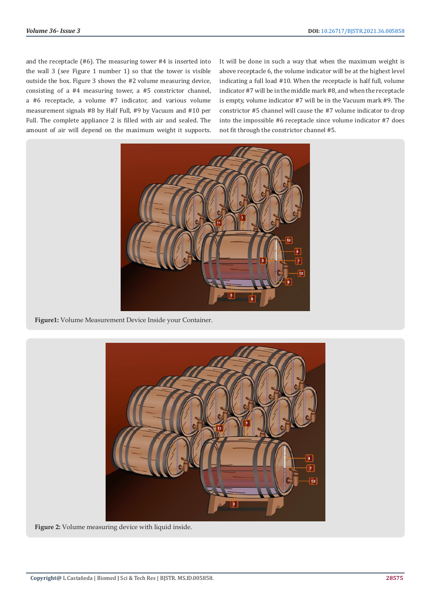and the receptacle (#6). The measuring tower #4 is inserted into the wall 3 (see Figure 1 number 1) so that the tower is visible outside the box. Figure 3 shows the #2 volume measuring device, consisting of a #4 measuring tower, a #5 constrictor channel, a #6 receptacle, a volume #7 indicator, and various volume measurement signals #8 by Half Full, #9 by Vacuum and #10 per Full. The complete appliance 2 is filled with air and sealed. The amount of air will depend on the maximum weight it supports.

It will be done in such a way that when the maximum weight is above receptacle 6, the volume indicator will be at the highest level indicating a full load #10. When the receptacle is half full, volume indicator #7 will be in the middle mark #8, and when the receptacle is empty, volume indicator #7 will be in the Vacuum mark #9. The constrictor #5 channel will cause the #7 volume indicator to drop into the impossible #6 receptacle since volume indicator #7 does not fit through the constrictor channel #5.



**Figure1:** Volume Measurement Device Inside your Container.



**Figure 2:** Volume measuring device with liquid inside.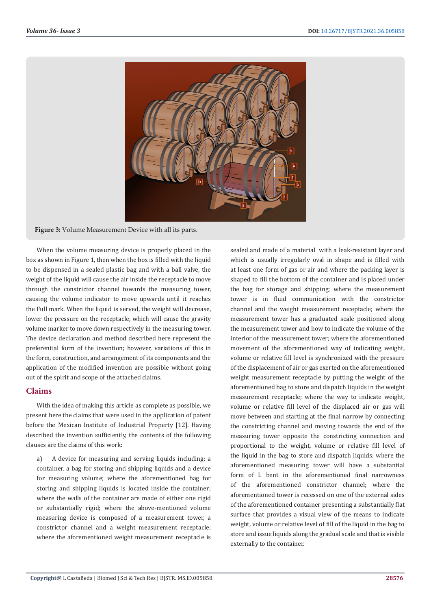

**Figure 3:** Volume Measurement Device with all its parts.

When the volume measuring device is properly placed in the box as shown in Figure 1, then when the box is filled with the liquid to be dispensed in a sealed plastic bag and with a ball valve, the weight of the liquid will cause the air inside the receptacle to move through the constrictor channel towards the measuring tower, causing the volume indicator to move upwards until it reaches the Full mark. When the liquid is served, the weight will decrease, lower the pressure on the receptacle, which will cause the gravity volume marker to move down respectively in the measuring tower. The device declaration and method described here represent the preferential form of the invention; however, variations of this in the form, construction, and arrangement of its components and the application of the modified invention are possible without going out of the spirit and scope of the attached claims.

# **Claims**

With the idea of making this article as complete as possible, we present here the claims that were used in the application of patent before the Mexican Institute of Industrial Property [12]. Having described the invention sufficiently, the contents of the following clauses are the claims of this work:

a) A device for measuring and serving liquids including: a container, a bag for storing and shipping liquids and a device for measuring volume; where the aforementioned bag for storing and shipping liquids is located inside the container; where the walls of the container are made of either one rigid or substantially rigid; where the above-mentioned volume measuring device is composed of a measurement tower, a constrictor channel and a weight measurement receptacle; where the aforementioned weight measurement receptacle is

sealed and made of a material with a leak-resistant layer and which is usually irregularly oval in shape and is filled with at least one form of gas or air and where the packing layer is shaped to fill the bottom of the container and is placed under the bag for storage and shipping; where the measurement tower is in fluid communication with the constrictor channel and the weight measurement receptacle; where the measurement tower has a graduated scale positioned along the measurement tower and how to indicate the volume of the interior of the measurement tower; where the aforementioned movement of the aforementioned way of indicating weight, volume or relative fill level is synchronized with the pressure of the displacement of air or gas exerted on the aforementioned weight measurement receptacle by putting the weight of the aforementioned bag to store and dispatch liquids in the weight measurement receptacle; where the way to indicate weight, volume or relative fill level of the displaced air or gas will move between and starting at the final narrow by connecting the constricting channel and moving towards the end of the measuring tower opposite the constricting connection and proportional to the weight, volume or relative fill level of the liquid in the bag to store and dispatch liquids; where the aforementioned measuring tower will have a substantial form of L bent in the aforementioned final narrowness of the aforementioned constrictor channel; where the aforementioned tower is recessed on one of the external sides of the aforementioned container presenting a substantially flat surface that provides a visual view of the means to indicate weight, volume or relative level of fill of the liquid in the bag to store and issue liquids along the gradual scale and that is visible externally to the container.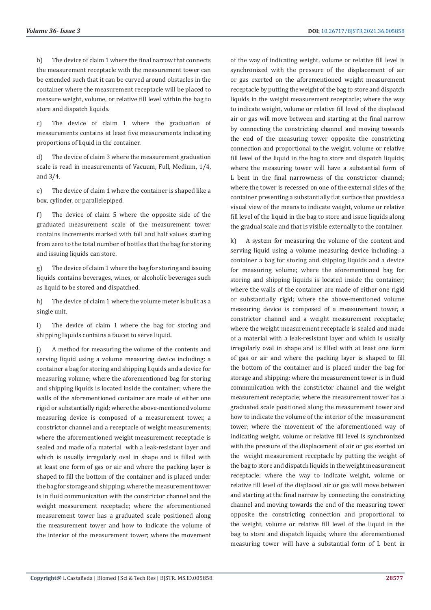b) The device of claim 1 where the final narrow that connects the measurement receptacle with the measurement tower can be extended such that it can be curved around obstacles in the container where the measurement receptacle will be placed to measure weight, volume, or relative fill level within the bag to store and dispatch liquids.

c) The device of claim 1 where the graduation of measurements contains at least five measurements indicating proportions of liquid in the container.

d) The device of claim 3 where the measurement graduation scale is read in measurements of Vacuum, Full, Medium, 1/4, and 3/4.

e) The device of claim 1 where the container is shaped like a box, cylinder, or parallelepiped.

f) The device of claim 5 where the opposite side of the graduated measurement scale of the measurement tower contains increments marked with full and half values starting from zero to the total number of bottles that the bag for storing and issuing liquids can store.

g) The device of claim 1 where the bag for storing and issuing liquids contains beverages, wines, or alcoholic beverages such as liquid to be stored and dispatched.

h) The device of claim 1 where the volume meter is built as a single unit.

i) The device of claim 1 where the bag for storing and shipping liquids contains a faucet to serve liquid.

j) A method for measuring the volume of the contents and serving liquid using a volume measuring device including: a container a bag for storing and shipping liquids and a device for measuring volume; where the aforementioned bag for storing and shipping liquids is located inside the container; where the walls of the aforementioned container are made of either one rigid or substantially rigid; where the above-mentioned volume measuring device is composed of a measurement tower, a constrictor channel and a receptacle of weight measurements; where the aforementioned weight measurement receptacle is sealed and made of a material with a leak-resistant layer and which is usually irregularly oval in shape and is filled with at least one form of gas or air and where the packing layer is shaped to fill the bottom of the container and is placed under the bag for storage and shipping; where the measurement tower is in fluid communication with the constrictor channel and the weight measurement receptacle; where the aforementioned measurement tower has a graduated scale positioned along the measurement tower and how to indicate the volume of the interior of the measurement tower; where the movement

of the way of indicating weight, volume or relative fill level is synchronized with the pressure of the displacement of air or gas exerted on the aforementioned weight measurement receptacle by putting the weight of the bag to store and dispatch liquids in the weight measurement receptacle; where the way to indicate weight, volume or relative fill level of the displaced air or gas will move between and starting at the final narrow by connecting the constricting channel and moving towards the end of the measuring tower opposite the constricting connection and proportional to the weight, volume or relative fill level of the liquid in the bag to store and dispatch liquids; where the measuring tower will have a substantial form of L bent in the final narrowness of the constrictor channel; where the tower is recessed on one of the external sides of the container presenting a substantially flat surface that provides a visual view of the means to indicate weight, volume or relative fill level of the liquid in the bag to store and issue liquids along the gradual scale and that is visible externally to the container.

k) A system for measuring the volume of the content and serving liquid using a volume measuring device including: a container a bag for storing and shipping liquids and a device for measuring volume; where the aforementioned bag for storing and shipping liquids is located inside the container; where the walls of the container are made of either one rigid or substantially rigid; where the above-mentioned volume measuring device is composed of a measurement tower, a constrictor channel and a weight measurement receptacle; where the weight measurement receptacle is sealed and made of a material with a leak-resistant layer and which is usually irregularly oval in shape and is filled with at least one form of gas or air and where the packing layer is shaped to fill the bottom of the container and is placed under the bag for storage and shipping; where the measurement tower is in fluid communication with the constrictor channel and the weight measurement receptacle; where the measurement tower has a graduated scale positioned along the measurement tower and how to indicate the volume of the interior of the measurement tower; where the movement of the aforementioned way of indicating weight, volume or relative fill level is synchronized with the pressure of the displacement of air or gas exerted on the weight measurement receptacle by putting the weight of the bag to store and dispatch liquids in the weight measurement receptacle; where the way to indicate weight, volume or relative fill level of the displaced air or gas will move between and starting at the final narrow by connecting the constricting channel and moving towards the end of the measuring tower opposite the constricting connection and proportional to the weight, volume or relative fill level of the liquid in the bag to store and dispatch liquids; where the aforementioned measuring tower will have a substantial form of L bent in